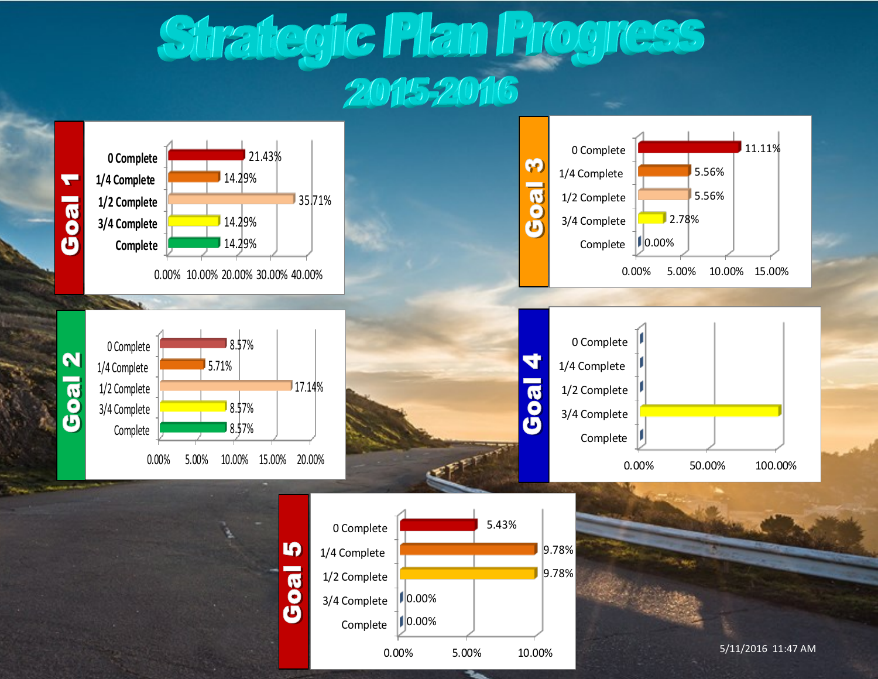# Strategic Plan Progress 2015-2016

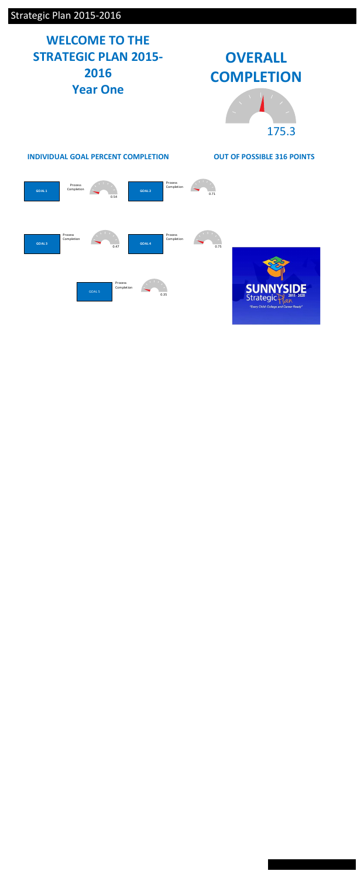## Strategic Plan 2015-2016

## **WELCOME TO THE STRATEGIC PLAN 2015- 2016 Year One**



# **OVERALL COMPLETION**

**OUT OF POSSIBLE 316 POINTS**



### **INDIVIDUAL GOAL PERCENT COMPLETION**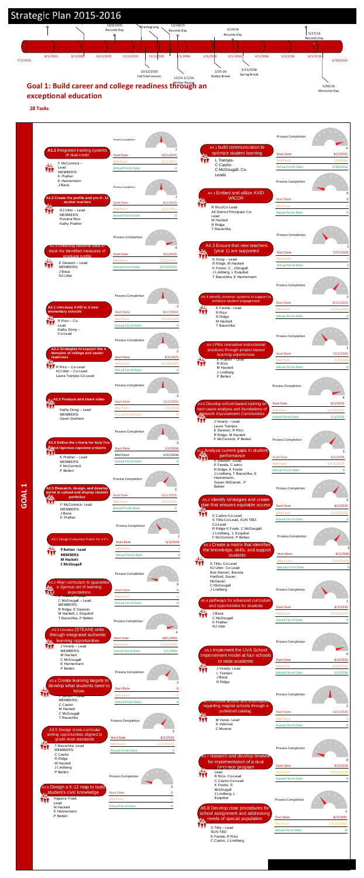#### **exceptional education**



**28 Tasks**



| итн         | Kathy Dong - Lead                                                                                | <b>Mid Point</b>                       | 1/6/2016       |
|-------------|--------------------------------------------------------------------------------------------------|----------------------------------------|----------------|
|             | <b>MEMBERS:</b><br>Gavin Dunham                                                                  | <b>Actual Finish Date</b>              |                |
|             |                                                                                                  | Process Completion                     |                |
|             | A2.4 Define the criteria for truly fine                                                          |                                        | 2              |
| . II. II. L | <b>And rigorous capstone projects</b>                                                            | <b>Start Date</b>                      | 1/4/2016       |
|             | K Prather - Lead<br>MEMBERS:                                                                     | Mid Point<br><b>Actual Finish Date</b> | 1/31/2016<br>0 |
|             | F McCormick<br>P Betten                                                                          | <b>Process Completion</b>              |                |
|             | A2.5 Research, design, and develop<br>portal to upload and display student                       |                                        | 3              |
|             | <b>portfolios</b>                                                                                | <b>Start Date</b>                      | 10/1/2015      |
|             | F McCormick-Lead                                                                                 | <b>Mid Point</b>                       | 12/1/2015      |
|             | MEMBERS:<br>J Baca                                                                               | <b>Actual Finish Date</b>              | 0              |
|             | K Prather                                                                                        | <b>Process Completion</b>              | 1              |
|             | A3.1 Design Evaluation Rubric for 4 C's                                                          | <b>Start Date</b>                      | 9/1/2015       |
|             | P Betten-Lead                                                                                    | <b>Mid Point</b>                       | 0              |
|             | <b>MEMBERS:</b>                                                                                  | <b>Actual Finish Date</b>              | 0              |
|             | M Hackett<br><b>C</b> McDougall                                                                  | <b>Process Completion</b>              |                |
|             | 43.2 Align curriculum to guarantee<br>a rigorous set of learning                                 | <b>Start Date</b>                      | 0<br>0         |
|             | expectations<br>C Castro - Lead                                                                  | <b>Mid Point</b>                       | 0              |
|             | C McDougall - Lead<br><b>MEMBERS:</b>                                                            | <b>Actual Finish Date</b>              | 0              |
|             | R Ridge, E Dawson<br>M Hackett, L Esquibel<br>T Bauschka, P Betten<br>A3.3 Develop (STEAM) units | Process Completion                     | 4              |
|             | through integrated authentic                                                                     | <b>Start Date</b>                      | 10/1/2015      |
| <u>Ro.</u>  | learning opportunities                                                                           | <b>Mid Point</b>                       | 10/30/2015     |
| W           | J Vesely - Lead<br><b>MEMBERS:</b>                                                               | <b>Actual Finish Date</b>              | 5/1/2016       |
|             | M Hackett<br>C McDougall<br>E Hannemann<br>P Betten                                              |                                        |                |
|             |                                                                                                  | <b>Process Completion</b>              |                |
|             | A3.4 Create learning targets to<br>develop what students need to<br>know                         | <b>Start Date</b>                      | 3<br>0         |
|             | P Betten – Lead<br><b>MEMBERS:</b>                                                               | <b>Mid Point</b>                       | 0              |
|             | C Castro                                                                                         | <b>Actual Finish Date</b>              | 0              |
|             | M Hackett<br>C McDougall<br>T Bauschka                                                           | Process Completion                     |                |
|             | A3.5 Design cross-curricular<br>writing opportunities aligned to<br>grade level standards        | <b>Start Date</b>                      | 3<br>8/1/2015  |
|             | T Bauschka -Lead                                                                                 | <b>Mid Point</b>                       | 12/17/2015     |
|             | MEMBERS:                                                                                         | <b>Actual Finish Date</b>              | 0              |
|             | C Castro<br>R Ridge<br>M Hackett<br>J Lindberg<br>P Betten                                       | <b>Process Completion</b>              |                |
|             | A3.6 Design a K-12 map to build<br>o <sub>o</sub> student's civic knowledge                      | <b>Start Date</b>                      | 0<br>0         |
|             | Higuera-Trask                                                                                    | <b>Mid Point</b>                       | $\mathbf{0}$   |
|             | Lead<br>M Hackett                                                                                | <b>Actual Finish Date</b>              | 0              |
|             |                                                                                                  |                                        |                |



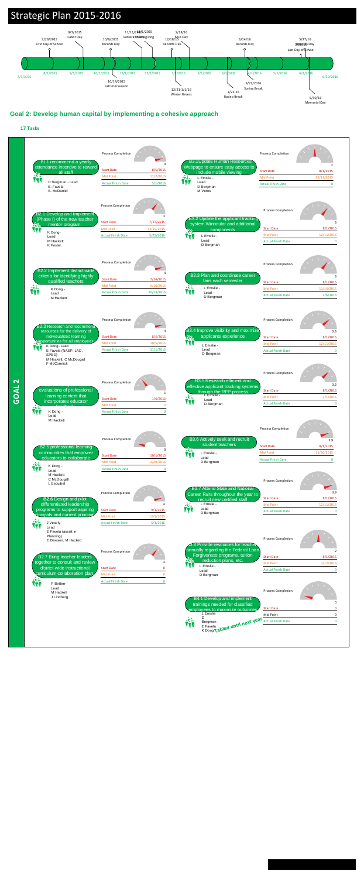

### **Goal 2: Develop human capital by implementing a cohesive approach**

#### **17 Tasks**

## Strategic Plan 2015-2016

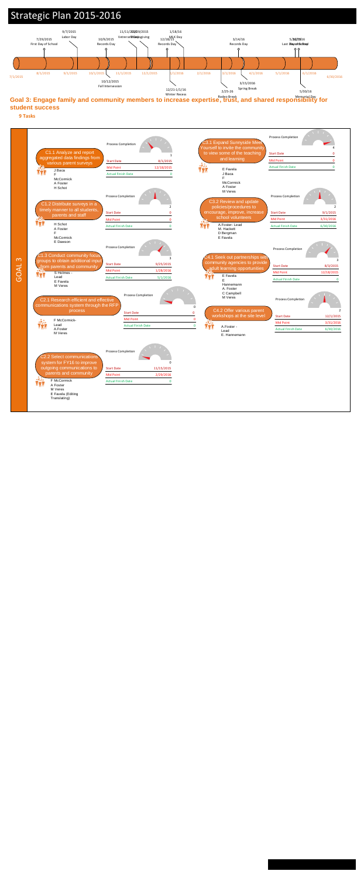

## Strategic Plan 2015-2016





**9 Tasks**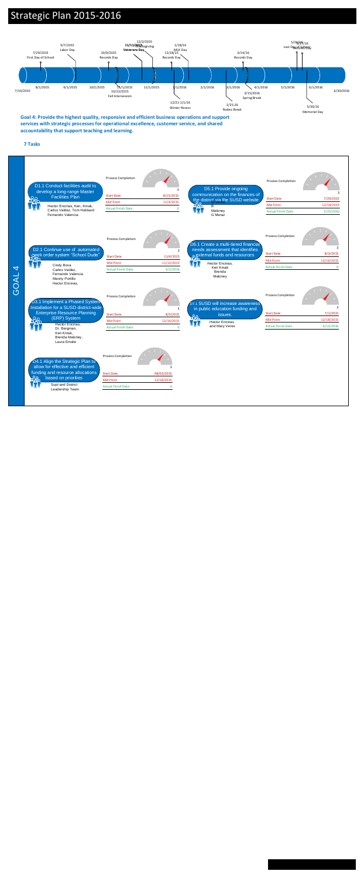**Goal 4: Provide the highest quality, responsive and efficient business operations and support services with strategic processes for operational excellence, customer service, and shared accountability that support teaching and learning.**



**7 Tasks**

## Strategic Plan 2015-2016